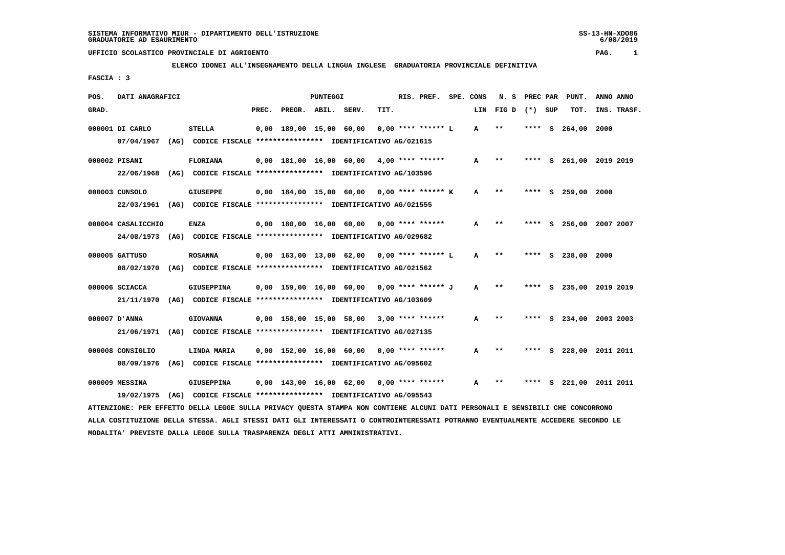$6/08/2019$ 

## **UFFICIO SCOLASTICO PROVINCIALE DI AGRIGENTO PAG. 1**

# **ELENCO IDONEI ALL'INSEGNAMENTO DELLA LINGUA INGLESE GRADUATORIA PROVINCIALE DEFINITIVA**

 **FASCIA : 3**

| POS.            | DATI ANAGRAFICI                                                         |                   |       |                         | PUNTEGGI |                                                               |      | RIS. PREF.           | SPE. CONS    | N. S              |      |    | PREC PAR PUNT.     | ANNO ANNO               |
|-----------------|-------------------------------------------------------------------------|-------------------|-------|-------------------------|----------|---------------------------------------------------------------|------|----------------------|--------------|-------------------|------|----|--------------------|-------------------------|
| GRAD.           |                                                                         |                   | PREC. | PREGR. ABIL. SERV.      |          |                                                               | TIT. |                      |              | LIN FIG D (*) SUP |      |    | TOT.               | INS. TRASF.             |
| 000001 DI CARLO |                                                                         | <b>STELLA</b>     |       | 0,00 189,00 15,00 60,00 |          |                                                               |      | $0.00$ **** ****** L | A            | $* *$             | **** | s  | 264,00             | 2000                    |
|                 | 07/04/1967                                                              |                   |       |                         |          | (AG) CODICE FISCALE **************** IDENTIFICATIVO AG/021615 |      |                      |              |                   |      |    |                    |                         |
| 000002 PISANI   |                                                                         | <b>FLORIANA</b>   |       |                         |          | $0,00$ 181,00 16,00 60,00 4,00 **** ******                    |      |                      | A            | $* *$             | **** | s. |                    | 261,00 2019 2019        |
|                 | 22/06/1968 (AG) CODICE FISCALE *************** IDENTIFICATIVO AG/103596 |                   |       |                         |          |                                                               |      |                      |              |                   |      |    |                    |                         |
| 000003 CUNSOLO  |                                                                         | <b>GIUSEPPE</b>   |       |                         |          | $0,00$ 184,00 15,00 60,00 0,00 **** ****** K                  |      |                      | A            | $* *$             | **** |    | S 259,00 2000      |                         |
|                 | 22/03/1961 (AG) CODICE FISCALE *************** IDENTIFICATIVO AG/021555 |                   |       |                         |          |                                                               |      |                      |              |                   |      |    |                    |                         |
|                 | 000004 CASALICCHIO                                                      | ENZA              |       |                         |          | $0,00$ 180,00 16,00 60,00 0,00 **** ******                    |      |                      | A            | $* *$             |      |    |                    | **** S 256,00 2007 2007 |
|                 | 24/08/1973 (AG) CODICE FISCALE *************** IDENTIFICATIVO AG/029682 |                   |       |                         |          |                                                               |      |                      |              |                   |      |    |                    |                         |
| 000005 GATTUSO  |                                                                         | <b>ROSANNA</b>    |       |                         |          | $0,00$ 163,00 13,00 62,00 0,00 **** ****** L                  |      |                      | A            | $***$             |      |    | **** S 238,00 2000 |                         |
|                 | 08/02/1970 (AG) CODICE FISCALE *************** IDENTIFICATIVO AG/021562 |                   |       |                         |          |                                                               |      |                      |              |                   |      |    |                    |                         |
| 000006 SCIACCA  |                                                                         | <b>GIUSEPPINA</b> |       |                         |          | $0,00$ 159,00 16,00 60,00 0,00 **** ****** J                  |      |                      | $\mathbf{A}$ | $* *$             |      |    |                    | **** S 235,00 2019 2019 |
|                 | 21/11/1970 (AG) CODICE FISCALE *************** IDENTIFICATIVO AG/103609 |                   |       |                         |          |                                                               |      |                      |              |                   |      |    |                    |                         |
| ANNA'D'ANNA     |                                                                         | <b>GIOVANNA</b>   |       |                         |          | 0,00 158,00 15,00 58,00                                       |      | $3,00$ **** ******   | A            | **                |      |    |                    | S 234,00 2003 2003      |
|                 | 21/06/1971 (AG) CODICE FISCALE *************** IDENTIFICATIVO AG/027135 |                   |       |                         |          |                                                               |      |                      |              |                   |      |    |                    |                         |
|                 | 000008 CONSIGLIO                                                        | LINDA MARIA       |       |                         |          | $0.00$ 152.00 16.00 60.00 0.00 **** ******                    |      |                      | A            | $**$              | **** |    |                    | S 228,00 2011 2011      |
|                 | 08/09/1976                                                              |                   |       |                         |          | (AG) CODICE FISCALE **************** IDENTIFICATIVO AG/095602 |      |                      |              |                   |      |    |                    |                         |
| 000009 MESSINA  |                                                                         | <b>GIUSEPPINA</b> |       |                         |          | 0,00 143,00 16,00 62,00                                       |      | $0.00$ **** ******   | A            | $* *$             |      | s  |                    | 221,00 2011 2011        |
|                 | 19/02/1975 (AG) CODICE FISCALE *************** IDENTIFICATIVO AG/095543 |                   |       |                         |          |                                                               |      |                      |              |                   |      |    |                    |                         |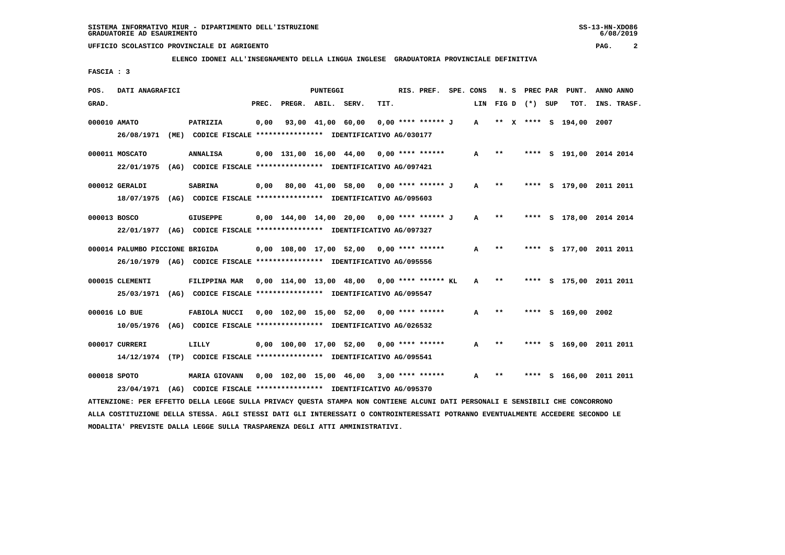**ELENCO IDONEI ALL'INSEGNAMENTO DELLA LINGUA INGLESE GRADUATORIA PROVINCIALE DEFINITIVA**

 **FASCIA : 3**

| POS.  | DATI ANAGRAFICI                 |                                                                                                                               |       |                                              | PUNTEGGI |                   |      | RIS. PREF.         | SPE. CONS    |              | N. S PREC PAR     | PUNT.                   | ANNO ANNO |             |
|-------|---------------------------------|-------------------------------------------------------------------------------------------------------------------------------|-------|----------------------------------------------|----------|-------------------|------|--------------------|--------------|--------------|-------------------|-------------------------|-----------|-------------|
| GRAD. |                                 |                                                                                                                               | PREC. | PREGR. ABIL. SERV.                           |          |                   | TIT. |                    |              |              | LIN FIG D (*) SUP | TOT.                    |           | INS. TRASF. |
|       | 000010 AMATO                    | PATRIZIA                                                                                                                      | 0,00  |                                              |          | 93,00 41,00 60,00 |      | 0,00 **** ****** J | $\mathbf{A}$ |              |                   | ** X **** S 194,00 2007 |           |             |
|       |                                 | 26/08/1971 (ME) CODICE FISCALE *************** IDENTIFICATIVO AG/030177                                                       |       |                                              |          |                   |      |                    |              |              |                   |                         |           |             |
|       | 000011 MOSCATO                  | <b>ANNALISA</b>                                                                                                               |       | $0,00$ 131,00 16,00 44,00 0,00 **** ******   |          |                   |      |                    | A            | $***$        |                   | **** S 191,00 2014 2014 |           |             |
|       |                                 | 22/01/1975 (AG) CODICE FISCALE *************** IDENTIFICATIVO AG/097421                                                       |       |                                              |          |                   |      |                    |              |              |                   |                         |           |             |
|       | 000012 GERALDI                  | <b>SABRINA</b>                                                                                                                |       | 0,00 80,00 41,00 58,00 0,00 **** ****** J    |          |                   |      |                    | A            | $\star\star$ |                   | **** S 179,00 2011 2011 |           |             |
|       |                                 | 18/07/1975 (AG) CODICE FISCALE *************** IDENTIFICATIVO AG/095603                                                       |       |                                              |          |                   |      |                    |              |              |                   |                         |           |             |
|       | 000013 BOSCO                    | <b>GIUSEPPE</b>                                                                                                               |       | $0.00$ 144.00 14.00 20.00 0.00 **** ****** J |          |                   |      |                    | A            | $* *$        |                   | **** S 178,00 2014 2014 |           |             |
|       |                                 | 22/01/1977 (AG) CODICE FISCALE *************** IDENTIFICATIVO AG/097327                                                       |       |                                              |          |                   |      |                    |              |              |                   |                         |           |             |
|       | 000014 PALUMBO PICCIONE BRIGIDA |                                                                                                                               |       | 0,00 108,00 17,00 52,00 0,00 **** ******     |          |                   |      |                    | A            | $* *$        |                   | **** S 177,00 2011 2011 |           |             |
|       |                                 | 26/10/1979 (AG) CODICE FISCALE *************** IDENTIFICATIVO AG/095556                                                       |       |                                              |          |                   |      |                    |              |              |                   |                         |           |             |
|       | 000015 CLEMENTI                 | FILIPPINA MAR 0,00 114,00 13,00 48,00 0,00 **** ****** KL                                                                     |       |                                              |          |                   |      |                    | A            | $***$        |                   | **** S 175,00 2011 2011 |           |             |
|       |                                 | 25/03/1971 (AG) CODICE FISCALE *************** IDENTIFICATIVO AG/095547                                                       |       |                                              |          |                   |      |                    |              |              |                   |                         |           |             |
|       | 000016 LO BUE                   | FABIOLA NUCCI                                                                                                                 |       | $0.00$ 102.00 15.00 52.00 0.00 **** ******   |          |                   |      |                    | A            | **           |                   | **** S 169.00 2002      |           |             |
|       |                                 | 10/05/1976 (AG) CODICE FISCALE *************** IDENTIFICATIVO AG/026532                                                       |       |                                              |          |                   |      |                    |              |              |                   |                         |           |             |
|       | 000017 CURRERI                  | LILLY                                                                                                                         |       | $0.00$ 100.00 17.00 52.00 0.00 **** ******   |          |                   |      |                    | $\mathbf{A}$ | $**$         |                   | **** S 169,00 2011 2011 |           |             |
|       |                                 | 14/12/1974 (TP) CODICE FISCALE **************** IDENTIFICATIVO AG/095541                                                      |       |                                              |          |                   |      |                    |              |              |                   |                         |           |             |
|       | 000018 SPOTO                    | MARIA GIOVANN 0,00 102,00 15,00 46,00 3,00 **** ******                                                                        |       |                                              |          |                   |      |                    | A            | $***$        |                   | **** S 166,00 2011 2011 |           |             |
|       | 23/04/1971                      | (AG) CODICE FISCALE **************** IDENTIFICATIVO AG/095370                                                                 |       |                                              |          |                   |      |                    |              |              |                   |                         |           |             |
|       |                                 | ATTENZIONE: PER EFFETTO DELLA LEGGE SULLA PRIVACY QUESTA STAMPA NON CONTIENE ALCUNI DATI PERSONALI E SENSIBILI CHE CONCORRONO |       |                                              |          |                   |      |                    |              |              |                   |                         |           |             |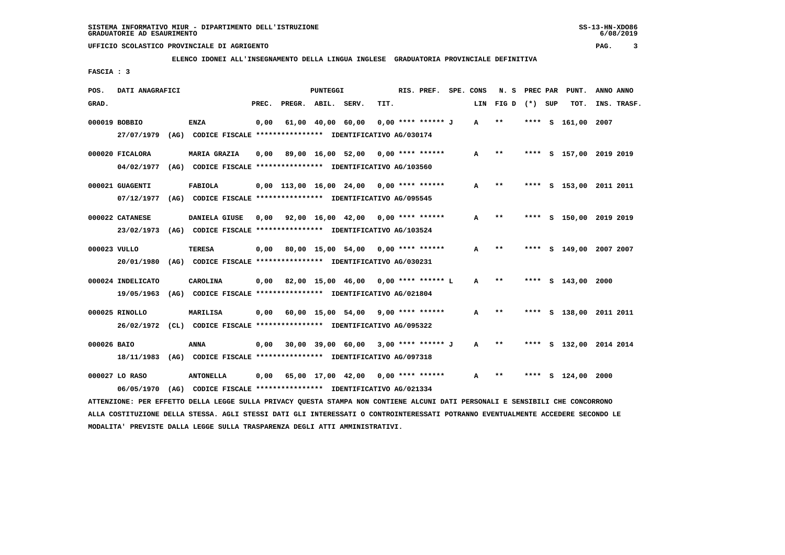**ELENCO IDONEI ALL'INSEGNAMENTO DELLA LINGUA INGLESE GRADUATORIA PROVINCIALE DEFINITIVA**

 **FASCIA : 3**

| POS.        | DATI ANAGRAFICI                                                                                                               |                                                                         |       | PUNTEGGI           |                   |                                                         | RIS. PREF. SPE. CONS |              | N. S           | PREC PAR |          | PUNT.              | ANNO ANNO               |
|-------------|-------------------------------------------------------------------------------------------------------------------------------|-------------------------------------------------------------------------|-------|--------------------|-------------------|---------------------------------------------------------|----------------------|--------------|----------------|----------|----------|--------------------|-------------------------|
| GRAD.       |                                                                                                                               |                                                                         | PREC. | PREGR. ABIL. SERV. |                   | TIT.                                                    |                      | LIN          | FIGD $(*)$ SUP |          |          | TOT.               | INS. TRASF.             |
|             | 000019 BOBBIO                                                                                                                 | <b>ENZA</b>                                                             | 0,00  |                    | 61,00 40,00 60,00 | 0,00 **** ****** J                                      |                      | $\mathbf{A}$ | $* *$          | ****     | <b>S</b> | 161,00 2007        |                         |
|             | 27/07/1979                                                                                                                    | (AG) CODICE FISCALE **************** IDENTIFICATIVO AG/030174           |       |                    |                   |                                                         |                      |              |                |          |          |                    |                         |
|             | 000020 FICALORA                                                                                                               | MARIA GRAZIA                                                            |       |                    |                   | $0.00$ 89.00 16.00 52.00 0.00 **** ******               |                      | A            | $***$          |          |          |                    | **** S 157,00 2019 2019 |
|             | 04/02/1977                                                                                                                    | (AG) CODICE FISCALE **************** IDENTIFICATIVO AG/103560           |       |                    |                   |                                                         |                      |              |                |          |          |                    |                         |
|             | 000021 GUAGENTI                                                                                                               | FABIOLA                                                                 |       |                    |                   | $0,00$ 113,00 16,00 24,00 0,00 **** ******              |                      | A            | $***$          |          |          |                    | **** S 153,00 2011 2011 |
|             |                                                                                                                               | 07/12/1977 (AG) CODICE FISCALE *************** IDENTIFICATIVO AG/095545 |       |                    |                   |                                                         |                      |              |                |          |          |                    |                         |
|             | 000022 CATANESE                                                                                                               | DANIELA GIUSE                                                           |       |                    |                   | $0,00$ $92,00$ $16,00$ $42,00$ $0,00$ $***$ **** ****** |                      | A            | $***$          |          |          |                    | **** S 150,00 2019 2019 |
|             |                                                                                                                               | 23/02/1973 (AG) CODICE FISCALE *************** IDENTIFICATIVO AG/103524 |       |                    |                   |                                                         |                      |              |                |          |          |                    |                         |
|             |                                                                                                                               |                                                                         |       |                    |                   |                                                         |                      |              |                |          |          |                    |                         |
|             | 000023 VULLO                                                                                                                  | <b>TERESA</b>                                                           |       |                    |                   | $0,00$ 80,00 15,00 54,00 0,00 **** ******               |                      | A            | $***$          | ****     |          |                    | S 149,00 2007 2007      |
|             | 20/01/1980                                                                                                                    | (AG) CODICE FISCALE **************** IDENTIFICATIVO AG/030231           |       |                    |                   |                                                         |                      |              |                |          |          |                    |                         |
|             | 000024 INDELICATO                                                                                                             | CAROLINA                                                                |       |                    |                   | $0,00$ 82,00 15,00 46,00 0,00 **** ****** L             |                      | $\mathbf{A}$ | $* *$          |          |          | **** S 143,00 2000 |                         |
|             |                                                                                                                               | 19/05/1963 (AG) CODICE FISCALE *************** IDENTIFICATIVO AG/021804 |       |                    |                   |                                                         |                      |              |                |          |          |                    |                         |
|             | 000025 RINOLLO                                                                                                                | <b>MARILISA</b>                                                         |       |                    |                   | $0,00$ 60,00 15,00 54,00 9,00 **** ******               |                      | A            | $* *$          |          |          |                    | **** S 138,00 2011 2011 |
|             |                                                                                                                               | 26/02/1972 (CL) CODICE FISCALE *************** IDENTIFICATIVO AG/095322 |       |                    |                   |                                                         |                      |              |                |          |          |                    |                         |
|             |                                                                                                                               |                                                                         |       |                    |                   | 30,00 39,00 60,00 3,00 **** ****** J                    |                      |              | $***$          |          |          |                    |                         |
| 000026 BAIO |                                                                                                                               | ANNA                                                                    | 0,00  |                    |                   |                                                         |                      | $\mathbf{A}$ |                |          |          |                    | **** S 132,00 2014 2014 |
|             | 18/11/1983                                                                                                                    | (AG) CODICE FISCALE **************** IDENTIFICATIVO AG/097318           |       |                    |                   |                                                         |                      |              |                |          |          |                    |                         |
|             | 000027 LO RASO                                                                                                                | <b>ANTONELLA</b>                                                        |       |                    |                   | $0,00$ 65,00 17,00 42,00 0,00 **** ******               |                      | A            | $***$          |          |          | **** S 124,00 2000 |                         |
|             | 06/05/1970                                                                                                                    | (AG) CODICE FISCALE **************** IDENTIFICATIVO AG/021334           |       |                    |                   |                                                         |                      |              |                |          |          |                    |                         |
|             | ATTENZIONE: PER EFFETTO DELLA LEGGE SULLA PRIVACY QUESTA STAMPA NON CONTIENE ALCUNI DATI PERSONALI E SENSIBILI CHE CONCORRONO |                                                                         |       |                    |                   |                                                         |                      |              |                |          |          |                    |                         |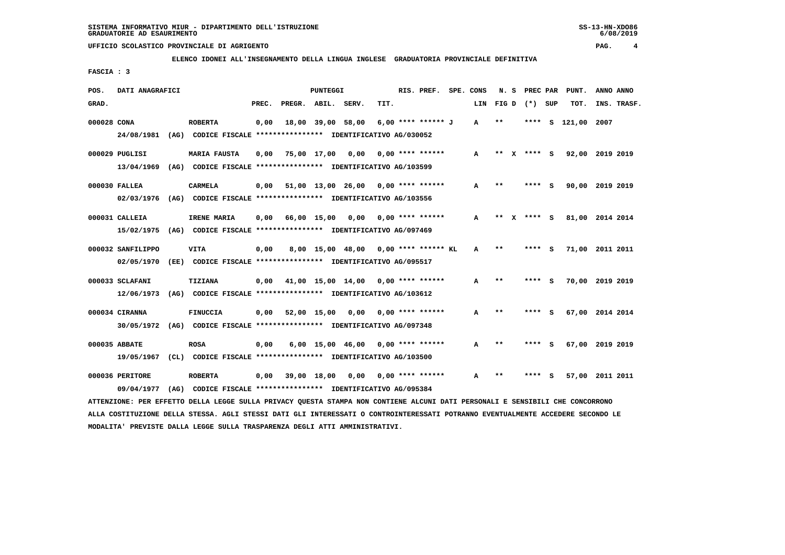**ELENCO IDONEI ALL'INSEGNAMENTO DELLA LINGUA INGLESE GRADUATORIA PROVINCIALE DEFINITIVA**

 **FASCIA : 3**

| POS.        | DATI ANAGRAFICI                                                                                                               |      |                                                               |       |                    | PUNTEGGI    |                                                          |      | RIS. PREF. SPE. CONS |     | N.S   | PREC PAR    |          | PUNT.           | ANNO ANNO |             |
|-------------|-------------------------------------------------------------------------------------------------------------------------------|------|---------------------------------------------------------------|-------|--------------------|-------------|----------------------------------------------------------|------|----------------------|-----|-------|-------------|----------|-----------------|-----------|-------------|
| GRAD.       |                                                                                                                               |      |                                                               | PREC. | PREGR. ABIL. SERV. |             |                                                          | TIT. |                      | LIN | FIG D | (*) SUP     |          | TOT.            |           | INS. TRASF. |
| 000028 CONA |                                                                                                                               |      | <b>ROBERTA</b>                                                | 0,00  |                    |             | 18,00 39,00 58,00                                        |      | 6,00 **** ****** J   | A   | $***$ | ****        | <b>S</b> | 121,00 2007     |           |             |
|             | 24/08/1981                                                                                                                    | (AG) |                                                               |       |                    |             | CODICE FISCALE **************** IDENTIFICATIVO AG/030052 |      |                      |     |       |             |          |                 |           |             |
|             | 000029 PUGLISI                                                                                                                |      | <b>MARIA FAUSTA</b>                                           | 0,00  |                    | 75,00 17,00 | 0,00                                                     |      | $0.00$ **** ******   | A   | $* *$ | **** S      |          | 92,00 2019 2019 |           |             |
|             | 13/04/1969                                                                                                                    |      | (AG) CODICE FISCALE **************** IDENTIFICATIVO AG/103599 |       |                    |             |                                                          |      |                      |     |       |             |          |                 |           |             |
|             | 000030 FALLEA                                                                                                                 |      | CARMELA                                                       | 0,00  |                    |             | $51,00$ $13,00$ $26,00$ $0,00$ $***$ **** *****          |      |                      | A   | $***$ | **** S      |          | 90,00 2019 2019 |           |             |
|             | 02/03/1976                                                                                                                    |      | (AG) CODICE FISCALE **************** IDENTIFICATIVO AG/103556 |       |                    |             |                                                          |      |                      |     |       |             |          |                 |           |             |
|             | 000031 CALLEIA                                                                                                                |      | IRENE MARIA                                                   | 0,00  |                    |             | 66,00 15,00 0,00                                         |      | $0.00$ **** ******   | A   |       | ** x **** s |          | 81,00 2014 2014 |           |             |
|             | 15/02/1975                                                                                                                    |      | (AG) CODICE FISCALE **************** IDENTIFICATIVO AG/097469 |       |                    |             |                                                          |      |                      |     |       |             |          |                 |           |             |
|             | 000032 SANFILIPPO                                                                                                             |      | <b>VITA</b>                                                   | 0,00  |                    |             | 8,00 15,00 48,00 0,00 **** ****** KL                     |      |                      | A   | $***$ | ****        | - S      | 71,00 2011 2011 |           |             |
|             | 02/05/1970                                                                                                                    |      | (EE) CODICE FISCALE **************** IDENTIFICATIVO AG/095517 |       |                    |             |                                                          |      |                      |     |       |             |          |                 |           |             |
|             | 000033 SCLAFANI                                                                                                               |      | TIZIANA                                                       | 0,00  |                    |             | $41,00$ 15,00 14,00 0,00 **** ******                     |      |                      | A   | $***$ | ****        | - S      | 70,00 2019 2019 |           |             |
|             | 12/06/1973                                                                                                                    |      | (AG) CODICE FISCALE **************** IDENTIFICATIVO AG/103612 |       |                    |             |                                                          |      |                      |     |       |             |          |                 |           |             |
|             | 000034 CIRANNA                                                                                                                |      | <b>FINUCCIA</b>                                               | 0,00  |                    |             | 52,00 15,00 0,00                                         |      | $0.00$ **** ******   | A   | $* *$ | ****        | - S      | 67,00 2014 2014 |           |             |
|             | 30/05/1972 (AG) CODICE FISCALE *************** IDENTIFICATIVO AG/097348                                                       |      |                                                               |       |                    |             |                                                          |      |                      |     |       |             |          |                 |           |             |
|             | 000035 ABBATE                                                                                                                 |      | <b>ROSA</b>                                                   | 0,00  |                    |             | 6,00 15,00 46,00                                         |      | $0.00$ **** ******   | A   | $* *$ | ****        | - 5      | 67,00 2019 2019 |           |             |
|             | 19/05/1967                                                                                                                    |      | (CL) CODICE FISCALE **************** IDENTIFICATIVO AG/103500 |       |                    |             |                                                          |      |                      |     |       |             |          |                 |           |             |
|             | 000036 PERITORE                                                                                                               |      | <b>ROBERTA</b>                                                | 0,00  | 39,00 18,00        |             | 0,00                                                     |      | $0.00$ **** ******   | A   | $***$ | ****        | - S      | 57,00 2011 2011 |           |             |
|             | 09/04/1977                                                                                                                    | (AG) |                                                               |       |                    |             | CODICE FISCALE **************** IDENTIFICATIVO AG/095384 |      |                      |     |       |             |          |                 |           |             |
|             | ATTENZIONE: PER EFFETTO DELLA LEGGE SULLA PRIVACY QUESTA STAMPA NON CONTIENE ALCUNI DATI PERSONALI E SENSIBILI CHE CONCORRONO |      |                                                               |       |                    |             |                                                          |      |                      |     |       |             |          |                 |           |             |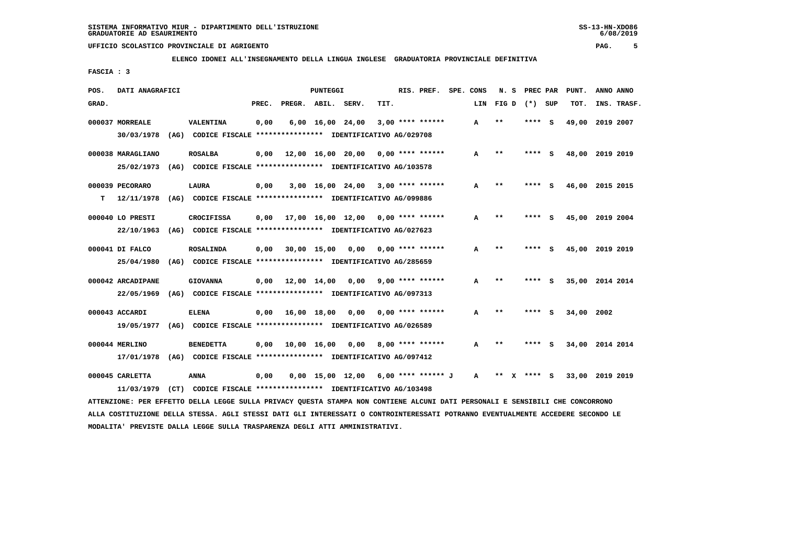**ELENCO IDONEI ALL'INSEGNAMENTO DELLA LINGUA INGLESE GRADUATORIA PROVINCIALE DEFINITIVA**

 **FASCIA : 3**

| POS.  | DATI ANAGRAFICI   |      |                                                               |       |              | <b>PUNTEGGI</b>                |                                       |      | RIS. PREF.         | SPE. CONS |              | N.S   | PREC PAR |     | PUNT.           | ANNO ANNO |             |
|-------|-------------------|------|---------------------------------------------------------------|-------|--------------|--------------------------------|---------------------------------------|------|--------------------|-----------|--------------|-------|----------|-----|-----------------|-----------|-------------|
| GRAD. |                   |      |                                                               | PREC. | PREGR. ABIL. |                                | SERV.                                 | TIT. |                    |           | LIN          | FIG D | $(* )$   | SUP | TOT.            |           | INS. TRASF. |
|       | 000037 MORREALE   |      | VALENTINA                                                     | 0,00  |              | $6,00 \quad 16,00 \quad 24,00$ |                                       |      | $3,00$ **** ****** |           | A            | $* *$ | ****     | - S | 49,00           | 2019 2007 |             |
|       | 30/03/1978        | (AG) | CODICE FISCALE **************** IDENTIFICATIVO AG/029708      |       |              |                                |                                       |      |                    |           |              |       |          |     |                 |           |             |
|       | 000038 MARAGLIANO |      | <b>ROSALBA</b>                                                | 0,00  |              | 12,00 16,00 20,00              |                                       |      | $0.00$ **** ****** |           | A            | $* *$ | ****     | - S | 48,00           | 2019 2019 |             |
|       | 25/02/1973        |      | (AG) CODICE FISCALE **************** IDENTIFICATIVO AG/103578 |       |              |                                |                                       |      |                    |           |              |       |          |     |                 |           |             |
|       | 000039 PECORARO   |      | LAURA                                                         | 0,00  |              | 3,00 16,00 24,00               |                                       |      | $3.00$ **** ****** |           | A            | $* *$ | ****     | s   | 46,00           | 2015 2015 |             |
| т     | 12/11/1978        | (AG) | CODICE FISCALE **************** IDENTIFICATIVO AG/099886      |       |              |                                |                                       |      |                    |           |              |       |          |     |                 |           |             |
|       | 000040 LO PRESTI  |      | <b>CROCIFISSA</b>                                             | 0.00  |              |                                | 17,00 16,00 12,00                     |      | $0.00$ **** ****** |           | А            | $* *$ |          | s   | 45,00           | 2019 2004 |             |
|       | 22/10/1963        |      | (AG) CODICE FISCALE **************** IDENTIFICATIVO AG/027623 |       |              |                                |                                       |      |                    |           |              |       |          |     |                 |           |             |
|       | 000041 DI FALCO   |      | <b>ROSALINDA</b>                                              | 0,00  |              | 30,00 15,00                    | 0,00                                  |      | $0.00$ **** ****** |           | A            | $* *$ |          | s   | 45,00 2019 2019 |           |             |
|       | 25/04/1980        |      | (AG) CODICE FISCALE **************** IDENTIFICATIVO AG/285659 |       |              |                                |                                       |      |                    |           |              |       |          |     |                 |           |             |
|       | 000042 ARCADIPANE |      | <b>GIOVANNA</b>                                               | 0,00  | 12,00 14,00  |                                | 0,00                                  |      | $9,00$ **** ****** |           | А            | $* *$ | **** S   |     | 35,00 2014 2014 |           |             |
|       | 22/05/1969        |      | (AG) CODICE FISCALE **************** IDENTIFICATIVO AG/097313 |       |              |                                |                                       |      |                    |           |              |       |          |     |                 |           |             |
|       |                   |      |                                                               |       |              |                                |                                       |      |                    |           |              |       |          |     |                 |           |             |
|       | 000043 ACCARDI    |      | <b>ELENA</b>                                                  | 0.00  | 16,00 18,00  |                                | 0,00                                  |      | $0.00$ **** ****** |           | A            | $* *$ | ****     | S   | 34,00           | 2002      |             |
|       | 19/05/1977        |      | (AG) CODICE FISCALE **************** IDENTIFICATIVO AG/026589 |       |              |                                |                                       |      |                    |           |              |       |          |     |                 |           |             |
|       | 000044 MERLINO    |      | <b>BENEDETTA</b>                                              | 0,00  |              | 10,00 16,00                    | 0,00                                  |      | $8,00$ **** ****** |           | A            | $* *$ | ****     | S   | 34,00           | 2014 2014 |             |
|       | 17/01/1978        | (AG) | CODICE FISCALE **************** IDENTIFICATIVO AG/097412      |       |              |                                |                                       |      |                    |           |              |       |          |     |                 |           |             |
|       | 000045 CARLETTA   |      | <b>ANNA</b>                                                   | 0.00  |              |                                | $0.00$ 15.00 12.00 6.00 **** ****** J |      |                    |           | $\mathbf{A}$ | **    | ****     | - 5 | 33,00           | 2019 2019 |             |
|       | 11/03/1979        | (CT) | CODICE FISCALE **************** IDENTIFICATIVO AG/103498      |       |              |                                |                                       |      |                    |           |              |       |          |     |                 |           |             |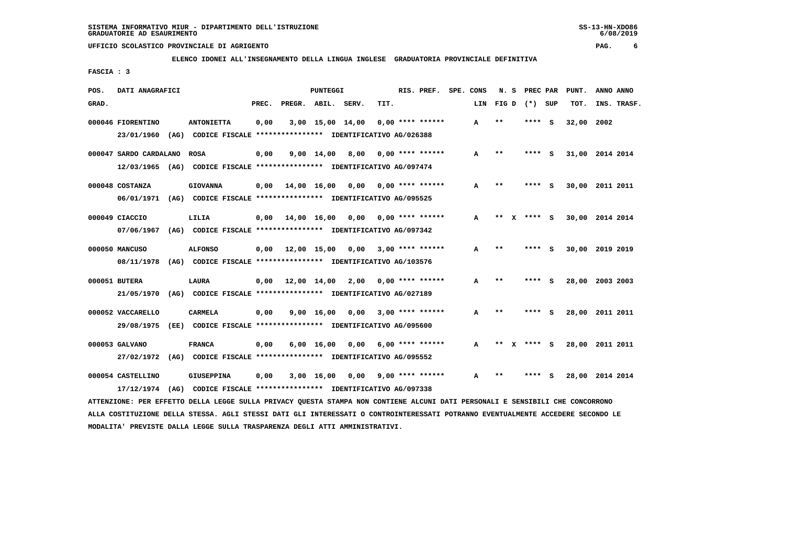**ELENCO IDONEI ALL'INSEGNAMENTO DELLA LINGUA INGLESE GRADUATORIA PROVINCIALE DEFINITIVA**

 **FASCIA : 3**

| POS.  | DATI ANAGRAFICI        |                                                                          |                               | PUNTEGGI           |      |                    | RIS. PREF. | SPE.<br>CONS | N. S                  | PREC PAR |     | PUNT.      | ANNO ANNO       |
|-------|------------------------|--------------------------------------------------------------------------|-------------------------------|--------------------|------|--------------------|------------|--------------|-----------------------|----------|-----|------------|-----------------|
| GRAD. |                        |                                                                          | PREC.                         | PREGR. ABIL. SERV. |      | TIT.               |            | LIN          | FIG D                 | $(*)$    | SUP | TOT.       | INS. TRASF.     |
|       | 000046 FIORENTINO      | <b>ANTONIETTA</b>                                                        | 0,00                          | 3,00 15,00 14,00   |      | $0.00$ **** ****** |            | A            | $* *$                 | ****     | - S | 32,00 2002 |                 |
|       | 23/01/1960             | (AG) CODICE FISCALE **************** IDENTIFICATIVO AG/026388            |                               |                    |      |                    |            |              |                       |          |     |            |                 |
|       | 000047 SARDO CARDALANO | <b>ROSA</b>                                                              | 0,00                          | 9,00 14,00         | 8,00 | $0.00$ **** ****** |            | A            | $* *$                 | ****     | - S |            | 31,00 2014 2014 |
|       |                        | 12/03/1965 (AG) CODICE FISCALE *************** IDENTIFICATIVO AG/097474  |                               |                    |      |                    |            |              |                       |          |     |            |                 |
|       | 000048 COSTANZA        | <b>GIOVANNA</b>                                                          | $0,00$ $14,00$ $16,00$        |                    | 0.00 | $0.00$ **** ****** |            | A            | $* *$                 | ****     | - S | 30,00      | 2011 2011       |
|       |                        | 06/01/1971 (AG) CODICE FISCALE *************** IDENTIFICATIVO AG/095525  |                               |                    |      |                    |            |              |                       |          |     |            |                 |
|       | 000049 CIACCIO         | LILIA                                                                    | $0,00$ $14,00$ $16,00$        |                    | 0,00 | $0.00$ **** ****** |            | A            | $***$<br>$\mathbf{x}$ | **** S   |     |            | 30,00 2014 2014 |
|       | 07/06/1967             | (AG) CODICE FISCALE **************** IDENTIFICATIVO AG/097342            |                               |                    |      |                    |            |              |                       |          |     |            |                 |
|       | 000050 MANCUSO         | <b>ALFONSO</b>                                                           | $0.00$ $12.00$ $15.00$        |                    | 0,00 | $3,00$ **** ****** |            | A            | $* *$                 | **** S   |     | 30,00      | 2019 2019       |
|       | 08/11/1978             | (AG) CODICE FISCALE **************** IDENTIFICATIVO AG/103576            |                               |                    |      |                    |            |              |                       |          |     |            |                 |
|       | 000051 BUTERA          | LAURA                                                                    | $0,00$ $12,00$ $14,00$ $2,00$ |                    |      | $0.00$ **** ****** |            | A            | $* *$                 | ****     | - S |            | 28,00 2003 2003 |
|       | 21/05/1970             | (AG) CODICE FISCALE **************** IDENTIFICATIVO AG/027189            |                               |                    |      |                    |            |              |                       |          |     |            |                 |
|       | 000052 VACCARELLO      | <b>CARMELA</b>                                                           | 0,00                          | $9,00 \quad 16,00$ | 0.00 | $3,00$ **** ****** |            | A            | $* *$                 | ****     | - S |            | 28,00 2011 2011 |
|       | 29/08/1975             | (EE) CODICE FISCALE **************** IDENTIFICATIVO AG/095600            |                               |                    |      |                    |            |              |                       |          |     |            |                 |
|       | 000053 GALVANO         | <b>FRANCA</b>                                                            | 0,00                          | $6,00$ 16,00       | 0,00 | $6,00$ **** ****** |            | A            | **                    | **** S   |     |            | 28,00 2011 2011 |
|       |                        | 27/02/1972 (AG) CODICE FISCALE *************** IDENTIFICATIVO AG/095552  |                               |                    |      |                    |            |              |                       |          |     |            |                 |
|       | 000054 CASTELLINO      | <b>GIUSEPPINA</b>                                                        | 0,00                          | 3,00 16,00         | 0,00 | $9,00$ **** ****** |            | А            | **                    |          |     |            | 28,00 2014 2014 |
|       |                        | 17/12/1974 (AG) CODICE FISCALE **************** IDENTIFICATIVO AG/097338 |                               |                    |      |                    |            |              |                       |          |     |            |                 |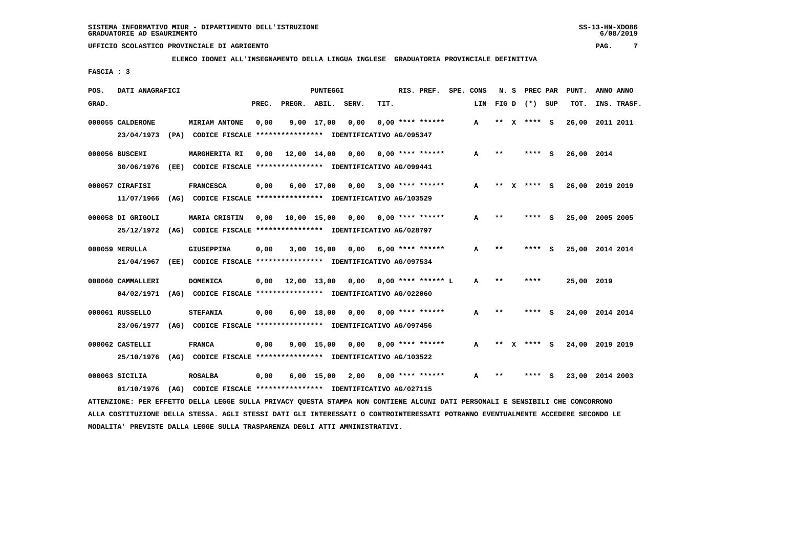**ELENCO IDONEI ALL'INSEGNAMENTO DELLA LINGUA INGLESE GRADUATORIA PROVINCIALE DEFINITIVA**

 **FASCIA : 3**

| POS.  | DATI ANAGRAFICI   |                                                                                                                               |       |                  | PUNTEGGI     |                                   |      | RIS. PREF. SPE. CONS |     |              |              | N. S PREC PAR   | PUNT.           | ANNO ANNO |             |
|-------|-------------------|-------------------------------------------------------------------------------------------------------------------------------|-------|------------------|--------------|-----------------------------------|------|----------------------|-----|--------------|--------------|-----------------|-----------------|-----------|-------------|
| GRAD. |                   |                                                                                                                               | PREC. | PREGR. ABIL.     |              | SERV.                             | TIT. |                      | LIN |              |              | FIG D $(*)$ SUP | TOT.            |           | INS. TRASF. |
|       | 000055 CALDERONE  | <b>MIRIAM ANTONE</b>                                                                                                          | 0.00  |                  | 9,00 17,00   | 0.00                              |      | $0.00$ **** ******   | A   | **           | x            | $***$ S         | 26,00           | 2011 2011 |             |
|       | 23/04/1973        | (PA) CODICE FISCALE **************** IDENTIFICATIVO AG/095347                                                                 |       |                  |              |                                   |      |                      |     |              |              |                 |                 |           |             |
|       | 000056 BUSCEMI    | MARGHERITA RI                                                                                                                 | 0,00  | 12,00 14,00      |              | 0,00                              |      | $0.00$ **** ******   | A   | $***$        |              | **** S          | 26,00 2014      |           |             |
|       | 30/06/1976        | (EE) CODICE FISCALE **************** IDENTIFICATIVO AG/099441                                                                 |       |                  |              |                                   |      |                      |     |              |              |                 |                 |           |             |
|       | 000057 CIRAFISI   | <b>FRANCESCA</b>                                                                                                              | 0,00  |                  |              | 6,00 17,00 0,00                   |      | $3,00$ **** ******   | A   | $***$        | $\mathbf{x}$ | $***$ S         | 26,00 2019 2019 |           |             |
|       | 11/07/1966        | (AG) CODICE FISCALE **************** IDENTIFICATIVO AG/103529                                                                 |       |                  |              |                                   |      |                      |     |              |              |                 |                 |           |             |
|       | 000058 DI GRIGOLI | MARIA CRISTIN                                                                                                                 | 0,00  |                  |              | 10,00 15,00 0,00 0,00 **** ****** |      |                      | A   | $**$         |              | **** S          | 25,00 2005 2005 |           |             |
|       | 25/12/1972        | (AG) CODICE FISCALE **************** IDENTIFICATIVO AG/028797                                                                 |       |                  |              |                                   |      |                      |     |              |              |                 |                 |           |             |
|       | 000059 MERULLA    | <b>GIUSEPPINA</b>                                                                                                             | 0,00  |                  | $3,00$ 16,00 | 0,00                              |      | $6.00$ **** ******   | A   | **           |              |                 | 25,00 2014 2014 |           |             |
|       | 21/04/1967        | (EE) CODICE FISCALE **************** IDENTIFICATIVO AG/097534                                                                 |       |                  |              |                                   |      |                      |     |              |              |                 |                 |           |             |
|       | 000060 CAMMALLERI | <b>DOMENICA</b>                                                                                                               | 0,00  | 12,00 13,00 0,00 |              |                                   |      | $0.00$ **** ****** L | A   | $**$         |              | ****            | 25,00 2019      |           |             |
|       | 04/02/1971        | (AG) CODICE FISCALE **************** IDENTIFICATIVO AG/022060                                                                 |       |                  |              |                                   |      |                      |     |              |              |                 |                 |           |             |
|       | 000061 RUSSELLO   | <b>STEFANIA</b>                                                                                                               | 0,00  |                  | 6,00 18,00   |                                   |      |                      | A   | $***$        |              | **** S          | 24,00 2014 2014 |           |             |
|       | 23/06/1977        | (AG) CODICE FISCALE **************** IDENTIFICATIVO AG/097456                                                                 |       |                  |              |                                   |      |                      |     |              |              |                 |                 |           |             |
|       | 000062 CASTELLI   | <b>FRANCA</b>                                                                                                                 | 0,00  |                  | $9,00$ 15,00 | 0,00                              |      | $0.00$ **** ******   | A   | $\star\star$ | x            | **** S          | 24,00 2019 2019 |           |             |
|       | 25/10/1976        | (AG) CODICE FISCALE **************** IDENTIFICATIVO AG/103522                                                                 |       |                  |              |                                   |      |                      |     |              |              |                 |                 |           |             |
|       | $000063$ SICILIA  | <b>ROSALBA</b>                                                                                                                | 0,00  |                  |              | $6,00$ 15,00 2,00                 |      | $0.00$ **** ******   | A   | $***$        |              | **** S          | 23,00 2014 2003 |           |             |
|       | 01/10/1976        | (AG) CODICE FISCALE **************** IDENTIFICATIVO AG/027115                                                                 |       |                  |              |                                   |      |                      |     |              |              |                 |                 |           |             |
|       |                   | ATTENZIONE: PER EFFETTO DELLA LEGGE SULLA PRIVACY QUESTA STAMPA NON CONTIENE ALCUNI DATI PERSONALI E SENSIBILI CHE CONCORRONO |       |                  |              |                                   |      |                      |     |              |              |                 |                 |           |             |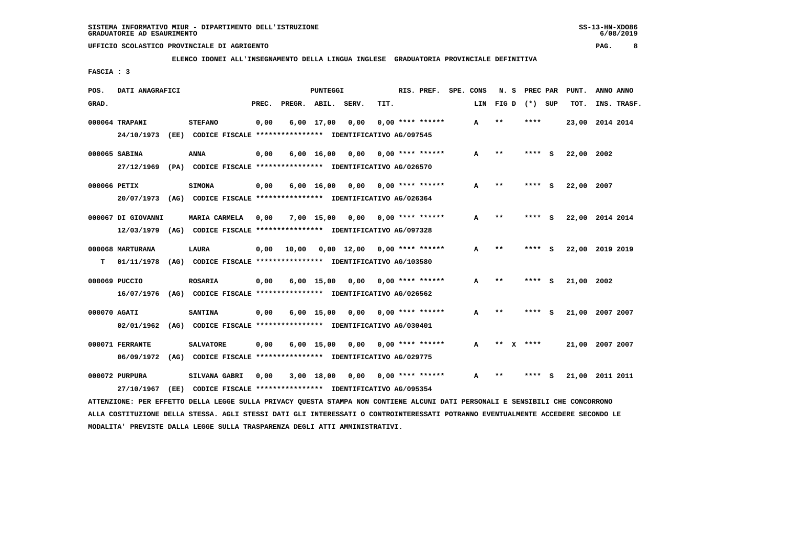**ELENCO IDONEI ALL'INSEGNAMENTO DELLA LINGUA INGLESE GRADUATORIA PROVINCIALE DEFINITIVA**

 **FASCIA : 3**

| POS.         | DATI ANAGRAFICI    |                                                                                                                               |       |              | PUNTEGGI           |                                    |      | RIS. PREF.              | SPE. CONS |     | N. S  | PREC PAR    |     | PUNT.           | ANNO ANNO |             |
|--------------|--------------------|-------------------------------------------------------------------------------------------------------------------------------|-------|--------------|--------------------|------------------------------------|------|-------------------------|-----------|-----|-------|-------------|-----|-----------------|-----------|-------------|
| GRAD.        |                    |                                                                                                                               | PREC. | PREGR. ABIL. |                    | SERV.                              | TIT. |                         |           | LIN |       | FIG D $(*)$ | SUP | TOT.            |           | INS. TRASF. |
|              | 000064 TRAPANI     | <b>STEFANO</b>                                                                                                                | 0,00  |              | $6,00$ 17,00       | 0.00                               |      | $0.00$ **** ******      |           | A   | $**$  | ****        |     | 23,00 2014 2014 |           |             |
|              | 24/10/1973         | (EE) CODICE FISCALE **************** IDENTIFICATIVO AG/097545                                                                 |       |              |                    |                                    |      |                         |           |     |       |             |     |                 |           |             |
|              | 000065 SABINA      | ANNA                                                                                                                          | 0,00  |              | $6,00 \quad 16,00$ | 0,00                               |      | $0.00$ **** ******      |           | A   | **    | ****        | - 5 | 22,00 2002      |           |             |
|              | 27/12/1969         | (PA) CODICE FISCALE **************** IDENTIFICATIVO AG/026570                                                                 |       |              |                    |                                    |      |                         |           |     |       |             |     |                 |           |             |
| 000066 PETIX |                    | <b>SIMONA</b>                                                                                                                 | 0,00  |              | $6,00 \quad 16,00$ | 0,00                               |      | $0.00$ **** ******      |           | A   | $**$  | **** S      |     | 22,00 2007      |           |             |
|              |                    | 20/07/1973 (AG) CODICE FISCALE *************** IDENTIFICATIVO AG/026364                                                       |       |              |                    |                                    |      |                         |           |     |       |             |     |                 |           |             |
|              | 000067 DI GIOVANNI | MARIA CARMELA                                                                                                                 | 0,00  |              |                    | $7,00$ 15,00 0,00 0,00 **** ****** |      |                         |           | A   | $**$  | ****        | - 5 | 22,00 2014 2014 |           |             |
|              | 12/03/1979         | (AG) CODICE FISCALE **************** IDENTIFICATIVO AG/097328                                                                 |       |              |                    |                                    |      |                         |           |     |       |             |     |                 |           |             |
|              | 000068 MARTURANA   | LAURA                                                                                                                         | 0,00  | 10,00        |                    | $0,00$ 12,00 0,00 **** ******      |      |                         |           | A   | $***$ | ****        | s   | 22,00 2019 2019 |           |             |
| т            | 01/11/1978         | (AG) CODICE FISCALE **************** IDENTIFICATIVO AG/103580                                                                 |       |              |                    |                                    |      |                         |           |     |       |             |     |                 |           |             |
|              | 000069 PUCCIO      | <b>ROSARIA</b>                                                                                                                | 0,00  |              | $6,00$ 15,00       | 0,00                               |      | $0.00$ **** ******      |           | A   | $**$  | ****        | - S | 21,00 2002      |           |             |
|              | 16/07/1976         | (AG) CODICE FISCALE **************** IDENTIFICATIVO AG/026562                                                                 |       |              |                    |                                    |      |                         |           |     |       |             |     |                 |           |             |
| 000070 AGATI |                    | <b>SANTINA</b>                                                                                                                | 0,00  |              |                    | $6,00 \quad 15,00 \quad 0,00$      |      | $0.00$ **** ******      |           | A   | **    | ****        |     | 21,00 2007 2007 |           |             |
|              | 02/01/1962         | (AG) CODICE FISCALE **************** IDENTIFICATIVO AG/030401                                                                 |       |              |                    |                                    |      |                         |           |     |       |             |     |                 |           |             |
|              | 000071 FERRANTE    | <b>SALVATORE</b>                                                                                                              | 0,00  |              | $6,00$ 15,00       |                                    |      | $0,00$ 0,00 **** ****** |           | A   |       | ** $X$ **** |     | 21,00 2007 2007 |           |             |
|              | 06/09/1972         | (AG) CODICE FISCALE **************** IDENTIFICATIVO AG/029775                                                                 |       |              |                    |                                    |      |                         |           |     |       |             |     |                 |           |             |
|              | 000072 PURPURA     | <b>SILVANA GABRI</b>                                                                                                          | 0,00  |              | 3,00 18,00         | 0,00                               |      | $0.00$ **** ******      |           | A   | $***$ | ****        | s   | 21,00 2011 2011 |           |             |
|              | 27/10/1967         | (EE) CODICE FISCALE *************** IDENTIFICATIVO AG/095354                                                                  |       |              |                    |                                    |      |                         |           |     |       |             |     |                 |           |             |
|              |                    | ATTENZIONE: PER EFFETTO DELLA LEGGE SULLA PRIVACY QUESTA STAMPA NON CONTIENE ALCUNI DATI PERSONALI E SENSIBILI CHE CONCORRONO |       |              |                    |                                    |      |                         |           |     |       |             |     |                 |           |             |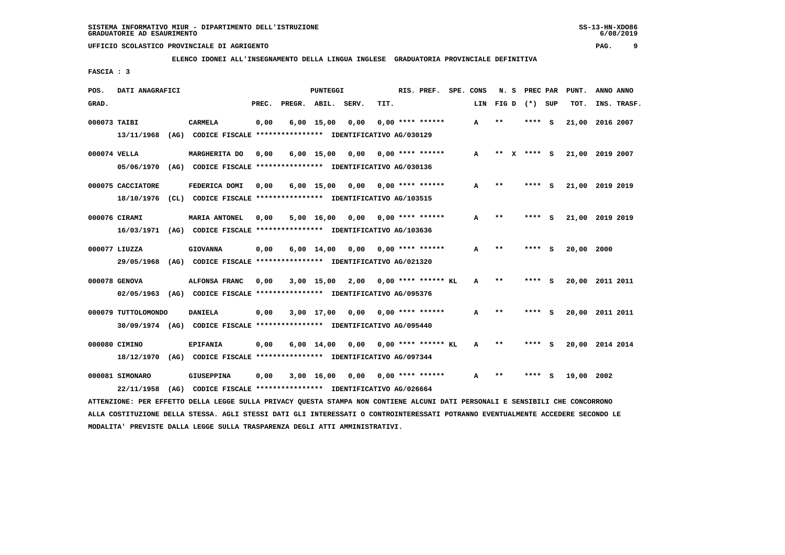**ELENCO IDONEI ALL'INSEGNAMENTO DELLA LINGUA INGLESE GRADUATORIA PROVINCIALE DEFINITIVA**

 **FASCIA : 3**

| POS.         | DATI ANAGRAFICI     |                                                                                                                               |       |              | <b>PUNTEGGI</b>    |                                    |      | RIS. PREF.                | SPE. CONS    | N. S         | PREC PAR        |     | PUNT.           | ANNO ANNO |             |
|--------------|---------------------|-------------------------------------------------------------------------------------------------------------------------------|-------|--------------|--------------------|------------------------------------|------|---------------------------|--------------|--------------|-----------------|-----|-----------------|-----------|-------------|
| GRAD.        |                     |                                                                                                                               | PREC. | PREGR. ABIL. |                    | SERV.                              | TIT. |                           | LIN          |              | FIG D $(*)$ SUP |     | TOT.            |           | INS. TRASF. |
| 000073 TAIBI |                     | <b>CARMELA</b>                                                                                                                | 0,00  |              | $6,00$ 15,00       | 0,00                               |      | $0.00$ **** ******        | A            | **           | ****            | - S | 21,00           | 2016 2007 |             |
|              |                     | 13/11/1968 (AG) CODICE FISCALE *************** IDENTIFICATIVO AG/030129                                                       |       |              |                    |                                    |      |                           |              |              |                 |     |                 |           |             |
|              | 000074 VELLA        | MARGHERITA DO                                                                                                                 | 0,00  |              | $6,00$ 15,00       | 0,00                               |      | $0.00$ **** ******        | A            |              | ** x **** s     |     | 21,00 2019 2007 |           |             |
|              |                     | 05/06/1970 (AG) CODICE FISCALE *************** IDENTIFICATIVO AG/030136                                                       |       |              |                    |                                    |      |                           |              |              |                 |     |                 |           |             |
|              | 000075 CACCIATORE   | FEDERICA DOMI                                                                                                                 | 0,00  |              |                    | $6,00$ 15,00 0,00 0,00 **** ****** |      |                           | A            | $* *$        | **** S          |     | 21,00 2019 2019 |           |             |
|              |                     | 18/10/1976 (CL) CODICE FISCALE *************** IDENTIFICATIVO AG/103515                                                       |       |              |                    |                                    |      |                           |              |              |                 |     |                 |           |             |
|              | 000076 CIRAMI       | <b>MARIA ANTONEL</b>                                                                                                          | 0,00  |              |                    | $5,00$ 16,00 0,00 0,00 **** ****** |      |                           | A            | $* *$        | **** S          |     | 21,00 2019 2019 |           |             |
|              |                     | 16/03/1971 (AG) CODICE FISCALE *************** IDENTIFICATIVO AG/103636                                                       |       |              |                    |                                    |      |                           |              |              |                 |     |                 |           |             |
|              | 000077 LIUZZA       | <b>GIOVANNA</b>                                                                                                               | 0,00  |              | $6,00 \quad 14,00$ | 0,00                               |      | $0.00$ **** ******        | A            | $* *$        |                 |     | 20,00 2000      |           |             |
|              | 29/05/1968          | (AG) CODICE FISCALE *************** IDENTIFICATIVO AG/021320                                                                  |       |              |                    |                                    |      |                           |              |              |                 |     |                 |           |             |
|              | 000078 GENOVA       | ALFONSA FRANC                                                                                                                 | 0,00  |              |                    | 3,00 15,00 2,00                    |      | $0.00$ **** ****** KL     | $\mathbf{A}$ | $\star\star$ | **** S          |     | 20,00 2011 2011 |           |             |
|              |                     | 02/05/1963 (AG) CODICE FISCALE *************** IDENTIFICATIVO AG/095376                                                       |       |              |                    |                                    |      |                           |              |              |                 |     |                 |           |             |
|              | 000079 TUTTOLOMONDO | DANIELA                                                                                                                       | 0,00  |              | 3,00 17,00         |                                    |      | $0,00$ $0,00$ **** ****** | A            | $***$        | **** S          |     | 20,00 2011 2011 |           |             |
|              |                     | 30/09/1974 (AG) CODICE FISCALE *************** IDENTIFICATIVO AG/095440                                                       |       |              |                    |                                    |      |                           |              |              |                 |     |                 |           |             |
|              | 000080 CIMINO       | <b>EPIFANIA</b>                                                                                                               | 0,00  |              | $6,00 \quad 14,00$ | 0,00                               |      | $0.00$ **** ****** KL     | A            | **           | **** S          |     | 20,00 2014 2014 |           |             |
|              |                     | 18/12/1970 (AG) CODICE FISCALE *************** IDENTIFICATIVO AG/097344                                                       |       |              |                    |                                    |      |                           |              |              |                 |     |                 |           |             |
|              | 000081 SIMONARO     | <b>GIUSEPPINA</b>                                                                                                             | 0,00  |              | 3,00 16,00         | 0,00                               |      | $0.00$ **** ******        | A            | $\star\star$ | ****            | - 5 | 19,00 2002      |           |             |
|              | 22/11/1958          | (AG) CODICE FISCALE **************** IDENTIFICATIVO AG/026664                                                                 |       |              |                    |                                    |      |                           |              |              |                 |     |                 |           |             |
|              |                     | ATTENZIONE: PER EFFETTO DELLA LEGGE SULLA PRIVACY OUESTA STAMPA NON CONTIENE ALCUNI DATI PERSONALI E SENSIBILI CHE CONCORRONO |       |              |                    |                                    |      |                           |              |              |                 |     |                 |           |             |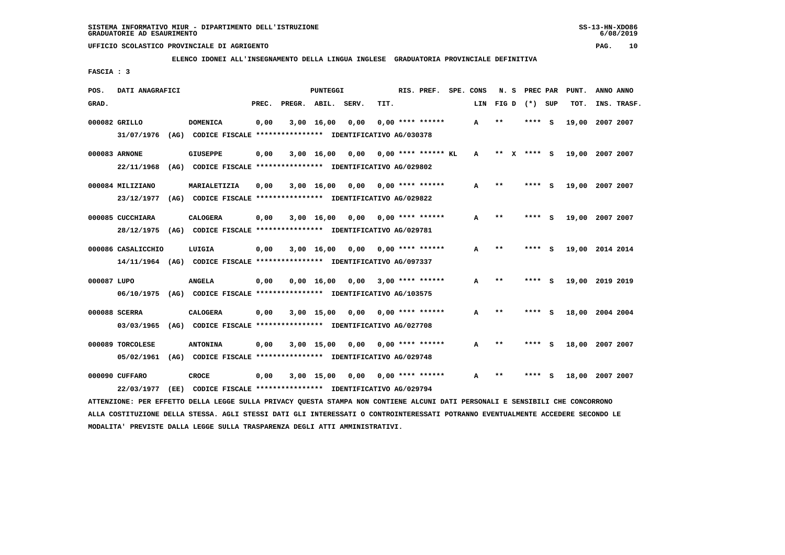**ELENCO IDONEI ALL'INSEGNAMENTO DELLA LINGUA INGLESE GRADUATORIA PROVINCIALE DEFINITIVA**

 **FASCIA : 3**

| POS.        | DATI ANAGRAFICI    |      |                                                                                                                               |       |              | PUNTEGGI     |       |      | RIS. PREF.            | SPE. CONS |     | N.S   |   | PREC PAR        |     | PUNT.           | ANNO ANNO |             |
|-------------|--------------------|------|-------------------------------------------------------------------------------------------------------------------------------|-------|--------------|--------------|-------|------|-----------------------|-----------|-----|-------|---|-----------------|-----|-----------------|-----------|-------------|
| GRAD.       |                    |      |                                                                                                                               | PREC. | PREGR. ABIL. |              | SERV. | TIT. |                       |           | LIN |       |   | FIG D $(*)$ SUP |     | TOT.            |           | INS. TRASF. |
|             | 000082 GRILLO      |      | <b>DOMENICA</b>                                                                                                               | 0,00  |              | $3,00$ 16,00 | 0,00  |      | $0.00$ **** ******    |           | A   | $**$  |   | ****            | S   | 19,00           | 2007 2007 |             |
|             | 31/07/1976         |      | (AG) CODICE FISCALE **************** IDENTIFICATIVO AG/030378                                                                 |       |              |              |       |      |                       |           |     |       |   |                 |     |                 |           |             |
|             | 000083 ARNONE      |      | <b>GIUSEPPE</b>                                                                                                               | 0,00  |              | $3,00$ 16,00 | 0,00  |      | $0.00$ **** ****** KL |           | A   | $***$ | x | **** S          |     | 19,00 2007 2007 |           |             |
|             | 22/11/1968         |      | (AG) CODICE FISCALE **************** IDENTIFICATIVO AG/029802                                                                 |       |              |              |       |      |                       |           |     |       |   |                 |     |                 |           |             |
|             | 000084 MILIZIANO   |      | MARIALETIZIA                                                                                                                  | 0,00  |              | $3,00$ 16,00 | 0,00  |      | $0.00$ **** ******    |           | A   | $**$  |   | ****            | - S | 19,00 2007 2007 |           |             |
|             | 23/12/1977         |      | (AG) CODICE FISCALE **************** IDENTIFICATIVO AG/029822                                                                 |       |              |              |       |      |                       |           |     |       |   |                 |     |                 |           |             |
|             | 000085 CUCCHIARA   |      | <b>CALOGERA</b>                                                                                                               | 0,00  |              | 3,00 16,00   | 0,00  |      | $0.00$ **** ******    |           | A   | $* *$ |   | ****            | - 5 | 19,00 2007 2007 |           |             |
|             | 28/12/1975         |      | (AG) CODICE FISCALE **************** IDENTIFICATIVO AG/029781                                                                 |       |              |              |       |      |                       |           |     |       |   |                 |     |                 |           |             |
|             | 000086 CASALICCHIO |      | LUIGIA                                                                                                                        | 0,00  |              | $3,00$ 16,00 | 0,00  |      | $0.00$ **** ******    |           | А   | **    |   | ****            | s   | 19,00 2014 2014 |           |             |
|             | 14/11/1964         |      | (AG) CODICE FISCALE **************** IDENTIFICATIVO AG/097337                                                                 |       |              |              |       |      |                       |           |     |       |   |                 |     |                 |           |             |
| 000087 LUPO |                    |      | <b>ANGELA</b>                                                                                                                 | 0,00  |              | 0.00 16.00   | 0,00  |      | $3,00$ **** ******    |           | A   | **    |   | ****            | - S | 19,00 2019 2019 |           |             |
|             | 06/10/1975         |      | (AG) CODICE FISCALE **************** IDENTIFICATIVO AG/103575                                                                 |       |              |              |       |      |                       |           |     |       |   |                 |     |                 |           |             |
|             | 000088 SCERRA      |      | <b>CALOGERA</b>                                                                                                               | 0,00  |              | $3,00$ 15,00 | 0.00  |      | $0.00$ **** ******    |           | A   | $* *$ |   | ****            | - 5 | 18,00 2004 2004 |           |             |
|             | 03/03/1965         |      | (AG) CODICE FISCALE **************** IDENTIFICATIVO AG/027708                                                                 |       |              |              |       |      |                       |           |     |       |   |                 |     |                 |           |             |
|             | 000089 TORCOLESE   |      | <b>ANTONINA</b>                                                                                                               | 0,00  |              | 3,00 15,00   | 0,00  |      | $0.00$ **** ******    |           | A   | $***$ |   | ****            | - S | 18,00 2007 2007 |           |             |
|             | 05/02/1961         |      | (AG) CODICE FISCALE **************** IDENTIFICATIVO AG/029748                                                                 |       |              |              |       |      |                       |           |     |       |   |                 |     |                 |           |             |
|             | 000090 CUFFARO     |      | <b>CROCE</b>                                                                                                                  | 0,00  |              | $3,00$ 15,00 | 0,00  |      | $0.00$ **** ******    |           | A   | $***$ |   | ****            | s   | 18,00 2007 2007 |           |             |
|             | 22/03/1977         | (EE) | CODICE FISCALE **************** IDENTIFICATIVO AG/029794                                                                      |       |              |              |       |      |                       |           |     |       |   |                 |     |                 |           |             |
|             |                    |      | ATTENZIONE: PER EFFETTO DELLA LEGGE SULLA PRIVACY QUESTA STAMPA NON CONTIENE ALCUNI DATI PERSONALI E SENSIBILI CHE CONCORRONO |       |              |              |       |      |                       |           |     |       |   |                 |     |                 |           |             |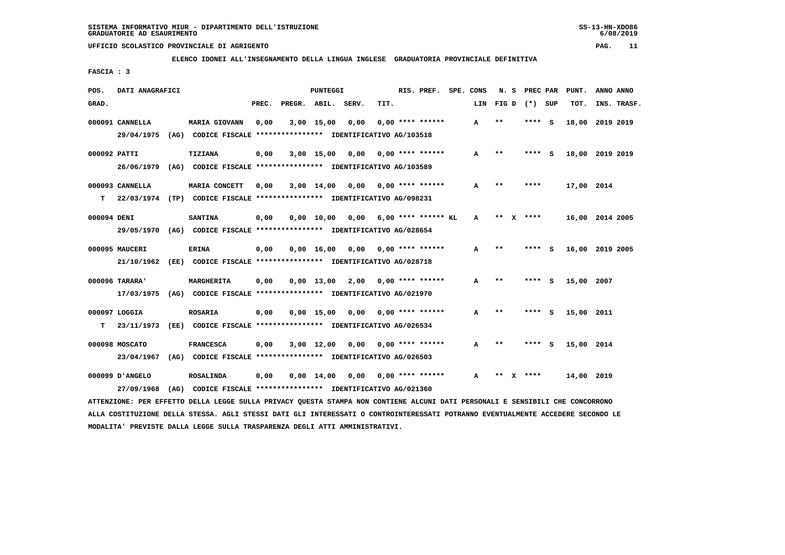**ELENCO IDONEI ALL'INSEGNAMENTO DELLA LINGUA INGLESE GRADUATORIA PROVINCIALE DEFINITIVA**

 **FASCIA : 3**

| POS.         | DATI ANAGRAFICI |      |                                                                         |       |                    | PUNTEGGI           |      |      | RIS. PREF.                | SPE. CONS |              | N. S  |   | PREC PAR        |          | PUNT.      | ANNO ANNO       |
|--------------|-----------------|------|-------------------------------------------------------------------------|-------|--------------------|--------------------|------|------|---------------------------|-----------|--------------|-------|---|-----------------|----------|------------|-----------------|
| GRAD.        |                 |      |                                                                         | PREC. | PREGR. ABIL. SERV. |                    |      | TIT. |                           |           | LIN          |       |   | FIG D $(*)$ SUP |          | TOT.       | INS. TRASF.     |
|              | 000091 CANNELLA |      | <b>MARIA GIOVANN</b>                                                    | 0,00  |                    | $3,00$ 15,00       | 0,00 |      | $0.00$ **** ******        |           | A            | $* *$ |   | ****            | - S      |            | 18,00 2019 2019 |
|              | 29/04/1975      |      | (AG) CODICE FISCALE **************** IDENTIFICATIVO AG/103518           |       |                    |                    |      |      |                           |           |              |       |   |                 |          |            |                 |
| 000092 PATTI |                 |      | <b>TIZIANA</b>                                                          | 0,00  |                    | 3,00 15,00         | 0,00 |      | $0.00$ **** ******        |           | A            | $**$  |   | ****            | - S      |            | 18,00 2019 2019 |
|              | 26/06/1979      |      | (AG) CODICE FISCALE **************** IDENTIFICATIVO AG/103589           |       |                    |                    |      |      |                           |           |              |       |   |                 |          |            |                 |
|              | 000093 CANNELLA |      | MARIA CONCETT                                                           | 0.00  |                    | $3,00$ 14,00       |      |      | $0,00$ $0,00$ **** ****** |           | A            | $* *$ |   | ****            |          | 17,00 2014 |                 |
| т            |                 |      | 22/03/1974 (TP) CODICE FISCALE *************** IDENTIFICATIVO AG/098231 |       |                    |                    |      |      |                           |           |              |       |   |                 |          |            |                 |
| 000094 DENI  |                 |      | <b>SANTINA</b>                                                          | 0,00  |                    | 0.00 10.00         | 0.00 |      | $6.00$ **** ****** KL     |           | $\mathbf{A}$ | $* *$ | x | ****            |          |            | 16,00 2014 2005 |
|              | 29/05/1970      |      | (AG) CODICE FISCALE **************** IDENTIFICATIVO AG/028654           |       |                    |                    |      |      |                           |           |              |       |   |                 |          |            |                 |
|              | 000095 MAUCERI  |      | <b>ERINA</b>                                                            | 0,00  |                    | $0,00$ 16,00       | 0,00 |      | $0.00$ **** ******        |           | A            | $**$  |   | ****            | <b>S</b> |            | 16,00 2019 2005 |
|              | 21/10/1962      |      | (EE) CODICE FISCALE **************** IDENTIFICATIVO AG/028718           |       |                    |                    |      |      |                           |           |              |       |   |                 |          |            |                 |
|              | 000096 TARARA'  |      | MARGHERITA                                                              | 0.00  |                    | $0.00$ 13.00       | 2,00 |      | $0.00$ **** ******        |           | A            | $* *$ |   | ****            | - S      | 15,00      | 2007            |
|              | 17/03/1975      |      | (AG) CODICE FISCALE **************** IDENTIFICATIVO AG/021970           |       |                    |                    |      |      |                           |           |              |       |   |                 |          |            |                 |
|              | 000097 LOGGIA   |      | <b>ROSARIA</b>                                                          | 0,00  |                    | $0.00$ 15.00       | 0,00 |      | $0.00$ **** ******        |           | A            | $* *$ |   | ****            | - S      | 15,00 2011 |                 |
| т            | 23/11/1973      |      | (EE) CODICE FISCALE **************** IDENTIFICATIVO AG/026534           |       |                    |                    |      |      |                           |           |              |       |   |                 |          |            |                 |
|              | 000098 MOSCATO  |      | <b>FRANCESCA</b>                                                        | 0,00  |                    | $3,00$ 12,00       | 0,00 |      | $0.00$ **** ******        |           | A            | $**$  |   | ****            | <b>S</b> | 15,00 2014 |                 |
|              | 23/04/1967      |      | (AG) CODICE FISCALE **************** IDENTIFICATIVO AG/026503           |       |                    |                    |      |      |                           |           |              |       |   |                 |          |            |                 |
|              | 000099 D'ANGELO |      | <b>ROSALINDA</b>                                                        | 0.00  |                    | $0.00 \quad 14.00$ | 0,00 |      | 0,00 **** ******          |           | А            | **    |   | ****            |          | 14,00 2019 |                 |
|              | 27/09/1968      | (AG) | CODICE FISCALE **************** IDENTIFICATIVO AG/021360                |       |                    |                    |      |      |                           |           |              |       |   |                 |          |            |                 |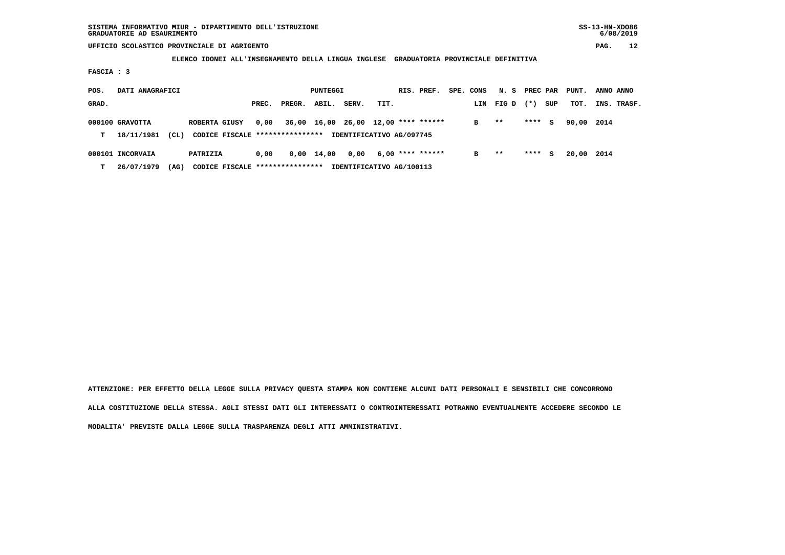**ELENCO IDONEI ALL'INSEGNAMENTO DELLA LINGUA INGLESE GRADUATORIA PROVINCIALE DEFINITIVA**

 **FASCIA : 3**

| POS.  | DATI ANAGRAFICI  |      |               |       |                                  | PUNTEGGI |                          |      | RIS. PREF.                          | SPE. CONS | N. S PREC PAR |       |     | PUNT. | ANNO ANNO |             |
|-------|------------------|------|---------------|-------|----------------------------------|----------|--------------------------|------|-------------------------------------|-----------|---------------|-------|-----|-------|-----------|-------------|
| GRAD. |                  |      |               | PREC. | PREGR.                           | ABIL.    | SERV.                    | TIT. |                                     | LIN       | FIG D         | $(*)$ | SUP | тот.  |           | INS. TRASF. |
|       | 000100 GRAVOTTA  |      | ROBERTA GIUSY | 0,00  |                                  |          |                          |      | 36,00 16,00 26,00 12,00 **** ****** | в         | $* *$         | ****  | s   | 90,00 | 2014      |             |
| т     | 18/11/1981       | (CL) |               |       | CODICE FISCALE ****************  |          | IDENTIFICATIVO AG/097745 |      |                                     |           |               |       |     |       |           |             |
|       | 000101 INCORVAIA |      | PATRIZIA      | 0.00  | 0,00                             | 14,00    | 0,00                     |      | $6,00$ **** ******                  | в         | $* *$         | ****  | S.  | 20,00 | 2014      |             |
| т     | 26/07/1979       | (AG) |               |       | CODICE FISCALE ***************** |          | IDENTIFICATIVO AG/100113 |      |                                     |           |               |       |     |       |           |             |